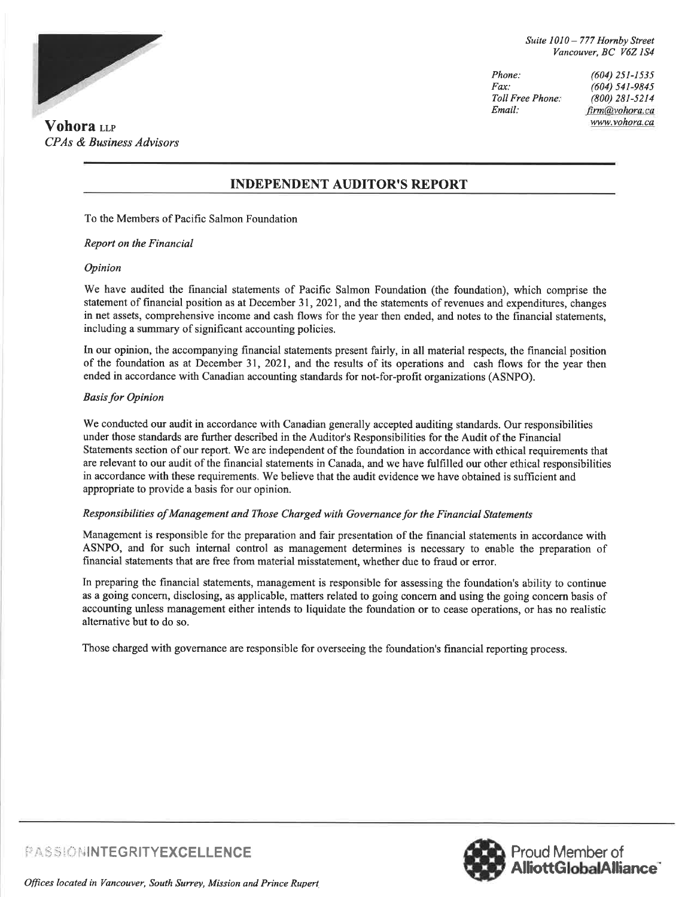

Phone: Fax: Toll Free Phone: Email: (604) 2sI-153s (604) 541-9845 (800) 281-5214 firm@vohora.ca

### INDEPENDENT AUDITOR'S REPORT

To the Members of Pacific Salmon Foundation

#### Report on the Financial

#### Opinion

We have audited the frrancial statements of Pacific Salmon Foundation (the foundation), which comprise the statement of financial position as at December 31, 2021, and the statements of revenues and expenditures, changes in net assets, comprehensive income and cash flows for the year then ended, and notes to the financial statements, including a summary of significant accounting policies.

In our opinion, the accompanying financial statements present fairly, in all material respects, the financial position of the foundation as at December 31,2021, and the results of its operations and cash flows for the year then ended in accordance with Canadian accounting standards for not-for-profit organizations (ASNPO).

#### **Basis for Opinion**

We conducted our audit in accordance with Canadian generally accepted auditing standards. Our responsibilities under those standards are further described in the Auditor's Responsibilities for the Audit of the Financial Statements section of our report. We are independent of the foundation in accordance with ethical requirements that are relevant to our audit of the financial statements in Canada, and we have fulfilled our other ethical responsibilities in accordance with these requirements. We believe that the audit evidence we have obtained is sufficient and appropriate to provide a basis for our opinion.

#### Responsibilities of Management and Those Charged with Governancefor the Financial Statements

Management is responsible for the preparation and fair presentation of the financial statements in accordance with ASNPO, and for such intemal control as management determines is necessary to enable the preparation of financial statements that are free from material misstatement, whether due to fraud or error.

In preparing the financial statements, management is responsible for assessing the foundation's ability to continue as a going concern, disclosing, as applicable, matters related to going concern and using the going concern basis of accounting unless management either intends to liquidate the foundation or to cease operations, or has no realistic alternative but to do so.

Those charged with govemance are responsible for overseeing the foundation's financial reporting process.



PASSIONINTEGRITYEXCELLENCE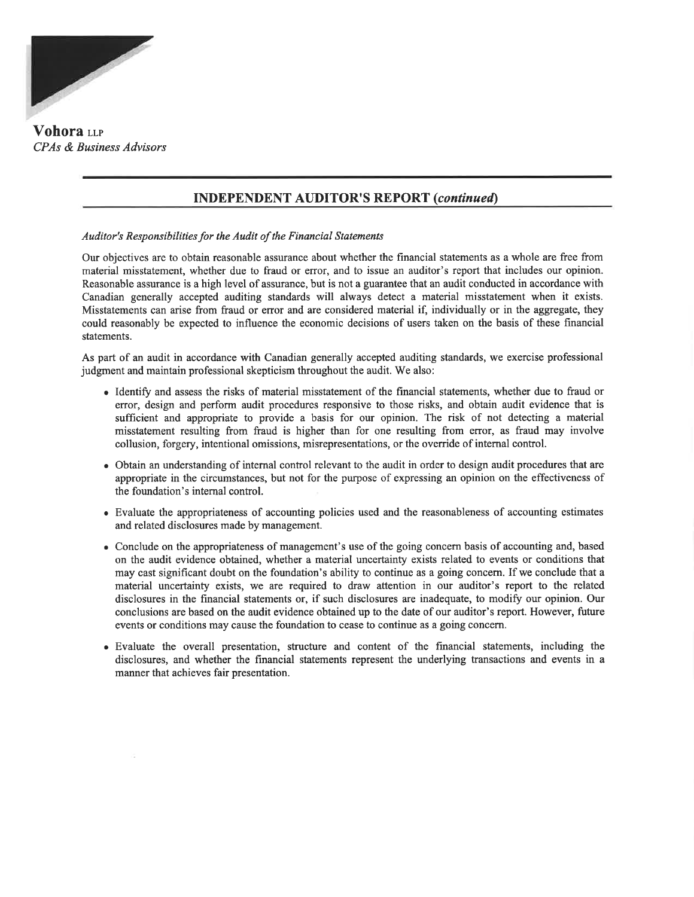

Vohora LLP CPAs & Business Advisors

## INDEPENDENT AUDITOR'S REPORT (continued)

Auditor's Responsibilities for the Audit of the Financial Statements

Our objectives are to obtain reasonable assurance about whether the financial statements as a whole are free from material misstatement, whether due to fraud or error, and to issue an auditor's report that includes our opinion. Reasonable assurance is a high level of assurance, but is not a guarantee that an audit conducted in accordance with Canadian generally accepted auditing standards will always detect a material misstatement when it exists. Misstatements can arise from fraud or error and are considered material if, individually or in the aggregate, they could reasonably be expected to influence the economic decisions of users taken on the basis of these financial statements.

As part of an audit in accordance with Canadian generally accepted auditing standards, we exercise professional judgment and maintain professional skepticism throughout the audit. We also:

- Identify and assess the risks of material misstatement of the financial statements, whether due to fraud or error, design and perform audit procedures responsive to those risks, and obtain audit evidence that is sufficient and appropriate to provide a basis for our opinion. The risk of not detecting a material misstatement resulting from fraud is higher than for one resulting from error, as fraud may involve collusion, forgery, intentional omissions, misrepresentations, or the override of internal control.
- Obtain an understanding of internal control relevant to the audit in order to design audit procedures that are appropriate in the circumstances, but not for the purpose of expressing an opinion on the effectiveness of the foundation's internal control.
- Evaluate the appropriateness of accounting policies used and the reasonableness of accounting estimates and related disclosures made by management.
- Conclude on the appropriateness of management's use of the going concern basis of accounting and, based on the audit evidence obtained, whether a material uncertainty exists related to events or conditions that may cast significant doubt on the foundation's ability to continue as a going concem. If we conclude that <sup>a</sup> material uncertainty exists, we are required to draw attention in our auditor's report to the related disclosures in the financial statements or, if such disclosures are inadequate, to modify our opinion. Our conclusions are based on the audit evidence obtained up to the date of our auditor's report. However, future events or conditions may cause the foundation to cease to continue as a going concern.
- Evaluate the overall presentation, structure and content of the financial statements, including the disclosures, and whether the financial statements represent the underlying transactions and events in a manner that achieves fair presentation.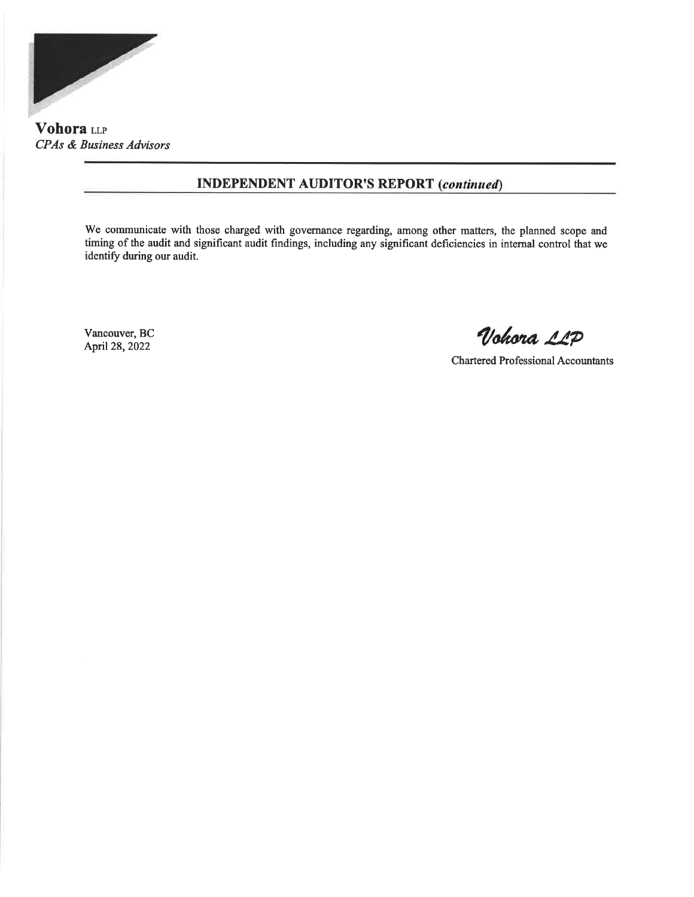

Vohora LLP CPAs & Business Advisors

## INDEPENDENT AUDITOR'S REPORT

We communicate with those charged with governance regarding, among other matters, the planned scope and timing of the audit and significant audit findings, including any significant deficiencies in internal control that we identify during our audit.

Vancouver, BC

Vohora LLP

Chartered Professional Accountants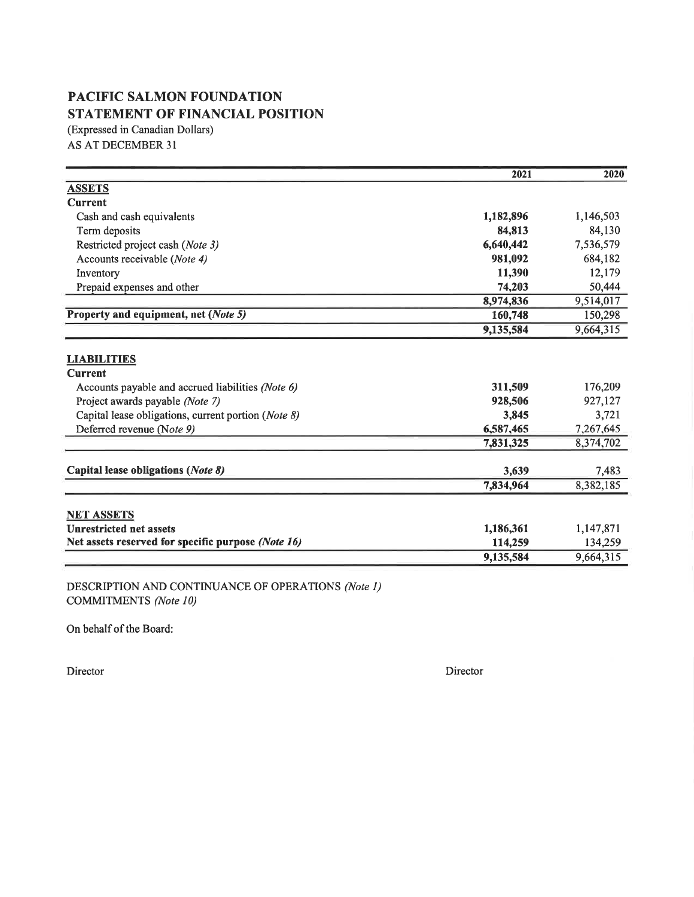# PACIFIC SALMON FOUNDATION STATEMENT OF FINANCIAL POSITION

(Expressed in Canadian Dollars) AS AT DECEMBER 3I

|                                                     | 2021      | 2020      |
|-----------------------------------------------------|-----------|-----------|
| <b>ASSETS</b>                                       |           |           |
| <b>Current</b>                                      |           |           |
| Cash and cash equivalents                           | 1,182,896 | 1,146,503 |
| Term deposits                                       | 84,813    | 84,130    |
| Restricted project cash (Note 3)                    | 6,640,442 | 7,536,579 |
| Accounts receivable (Note 4)                        | 981,092   | 684,182   |
| Inventory                                           | 11,390    | 12,179    |
| Prepaid expenses and other                          | 74,203    | 50,444    |
|                                                     | 8,974,836 | 9,514,017 |
| Property and equipment, net (Note 5)                | 160,748   | 150,298   |
|                                                     | 9,135,584 | 9,664,315 |
| <b>LIABILITIES</b>                                  |           |           |
| <b>Current</b>                                      |           |           |
| Accounts payable and accrued liabilities (Note 6)   | 311,509   | 176,209   |
| Project awards payable (Note 7)                     | 928,506   | 927,127   |
| Capital lease obligations, current portion (Note 8) | 3,845     | 3,721     |
| Deferred revenue (Note 9)                           | 6,587,465 | 7,267,645 |
|                                                     | 7,831,325 | 8,374,702 |
| Capital lease obligations (Note 8)                  | 3,639     | 7,483     |
|                                                     | 7,834,964 | 8,382,185 |
|                                                     |           |           |
| <b>NET ASSETS</b>                                   |           |           |
| <b>Unrestricted net assets</b>                      | 1,186,361 | 1,147,871 |
| Net assets reserved for specific purpose (Note 16)  | 114,259   | 134,259   |
|                                                     | 9,135,584 | 9,664,315 |

DESCRIPTION AND CONTINUANCE OF OPERATIONS (Note l) COMMITMENTS (Note I0)

On behalf of the Board:

Director Director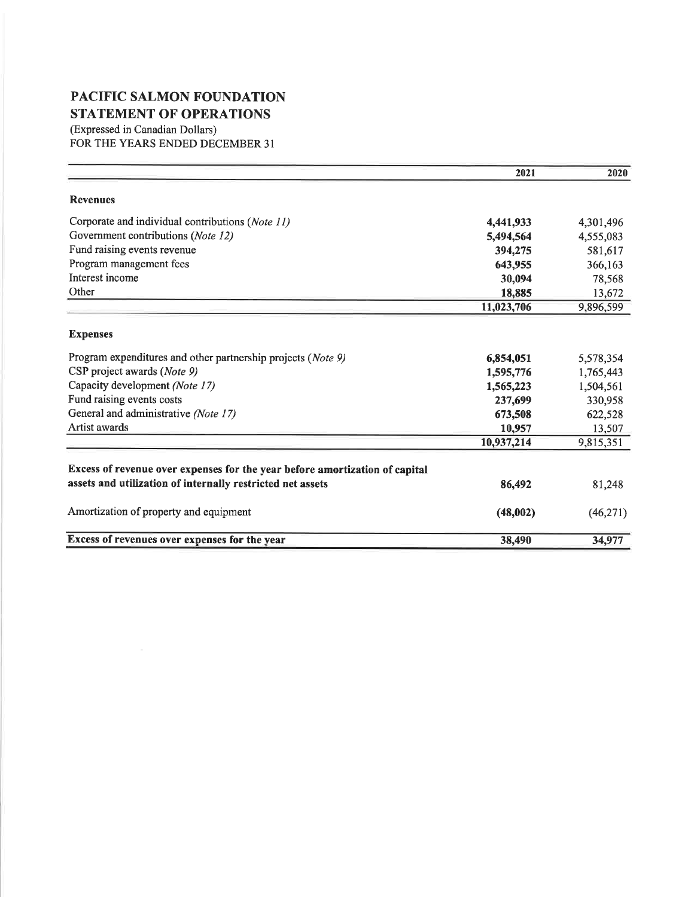# PACIFIC SALMON FOUNDATION STATEMENT OF OPERATIONS

(Expressed in Canadian Dollars) FOR THE YEARS ENDED DECEMBER 31

|                                                                             | 2021       | 2020      |
|-----------------------------------------------------------------------------|------------|-----------|
| <b>Revenues</b>                                                             |            |           |
| Corporate and individual contributions (Note 11)                            | 4,441,933  | 4,301,496 |
| Government contributions (Note 12)                                          | 5,494,564  | 4,555,083 |
| Fund raising events revenue                                                 | 394,275    | 581,617   |
| Program management fees                                                     | 643,955    | 366,163   |
| Interest income                                                             | 30,094     | 78,568    |
| Other                                                                       | 18,885     | 13,672    |
|                                                                             | 11,023,706 | 9,896,599 |
| <b>Expenses</b>                                                             |            |           |
| Program expenditures and other partnership projects (Note 9)                | 6,854,051  | 5,578,354 |
| CSP project awards (Note 9)                                                 | 1,595,776  | 1,765,443 |
| Capacity development (Note 17)                                              | 1,565,223  | 1,504,561 |
| Fund raising events costs                                                   | 237,699    | 330,958   |
| General and administrative (Note 17)                                        | 673,508    | 622,528   |
| Artist awards                                                               | 10,957     | 13,507    |
|                                                                             | 10,937,214 | 9,815,351 |
| Excess of revenue over expenses for the year before amortization of capital |            |           |
| assets and utilization of internally restricted net assets                  | 86,492     | 81,248    |
| Amortization of property and equipment                                      | (48,002)   | (46,271)  |
| Excess of revenues over expenses for the year                               | 38,490     | 34,977    |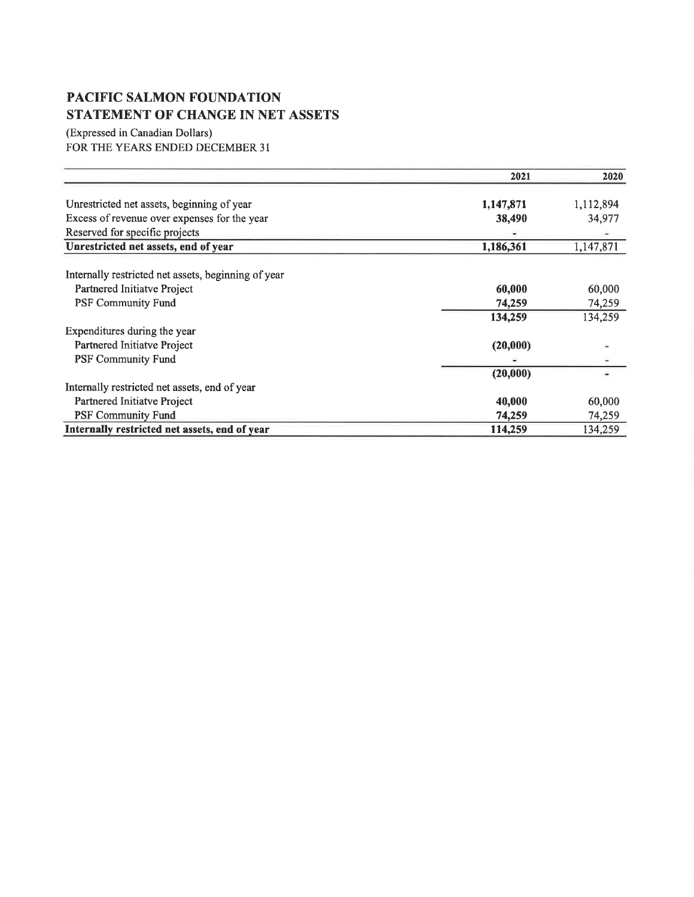# PACIFIC SALMON FOUNDATION STATEMENT OF CHANGE IN NET ASSETS

(Expressed in Canadian Dollars) FOR THE YEARS ENDED DECEMBER 31

|                                                     | 2021      | 2020      |
|-----------------------------------------------------|-----------|-----------|
|                                                     |           |           |
| Unrestricted net assets, beginning of year          | 1,147,871 | 1,112,894 |
| Excess of revenue over expenses for the year        | 38,490    | 34,977    |
| Reserved for specific projects                      |           |           |
| Unrestricted net assets, end of year                | 1,186,361 | 1,147,871 |
| Internally restricted net assets, beginning of year |           |           |
| Partnered Initiatve Project                         | 60,000    | 60,000    |
| <b>PSF Community Fund</b>                           | 74,259    | 74,259    |
|                                                     | 134,259   | 134,259   |
| Expenditures during the year                        |           |           |
| Partnered Initiatve Project                         | (20,000)  |           |
| <b>PSF Community Fund</b>                           |           |           |
|                                                     | (20,000)  |           |
| Internally restricted net assets, end of year       |           |           |
| Partnered Initiatve Project                         | 40,000    | 60,000    |
| <b>PSF Community Fund</b>                           | 74,259    | 74,259    |
| Internally restricted net assets, end of year       | 114,259   | 134,259   |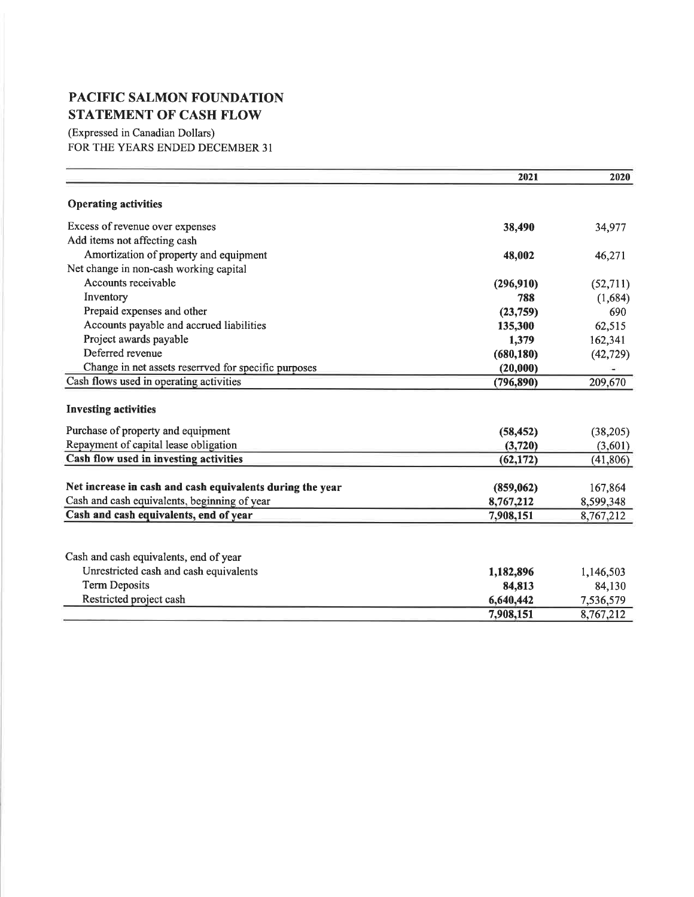# PACIFIC SALMON FOUNDATION STATEMENT OF CASH FLOW

(Expressed in Canadian Dollars) FOR THE YEARS ENDED DECEMBER 3I

|                                                           | 2021       | 2020      |
|-----------------------------------------------------------|------------|-----------|
| <b>Operating activities</b>                               |            |           |
| Excess of revenue over expenses                           | 38,490     | 34,977    |
| Add items not affecting cash                              |            |           |
| Amortization of property and equipment                    | 48,002     | 46,271    |
| Net change in non-cash working capital                    |            |           |
| Accounts receivable                                       | (296, 910) | (52, 711) |
| Inventory                                                 | 788        | (1,684)   |
| Prepaid expenses and other                                | (23,759)   | 690       |
| Accounts payable and accrued liabilities                  | 135,300    | 62,515    |
| Project awards payable                                    | 1,379      | 162,341   |
| Deferred revenue                                          | (680, 180) | (42, 729) |
| Change in net assets reserrved for specific purposes      | (20,000)   |           |
| Cash flows used in operating activities                   | (796, 890) | 209,670   |
| <b>Investing activities</b>                               |            |           |
| Purchase of property and equipment                        | (58, 452)  | (38, 205) |
| Repayment of capital lease obligation                     | (3,720)    | (3,601)   |
| Cash flow used in investing activities                    | (62, 172)  | (41, 806) |
| Net increase in cash and cash equivalents during the year | (859,062)  | 167,864   |
| Cash and cash equivalents, beginning of year              | 8,767,212  | 8,599,348 |
| Cash and cash equivalents, end of year                    | 7,908,151  | 8,767,212 |
|                                                           |            |           |
| Cash and cash equivalents, end of year                    |            |           |
| Unrestricted cash and cash equivalents                    | 1,182,896  | 1,146,503 |
| <b>Term Deposits</b>                                      | 84,813     | 84,130    |
| Restricted project cash                                   | 6,640,442  | 7,536,579 |
|                                                           | 7,908,151  | 8,767,212 |
|                                                           |            |           |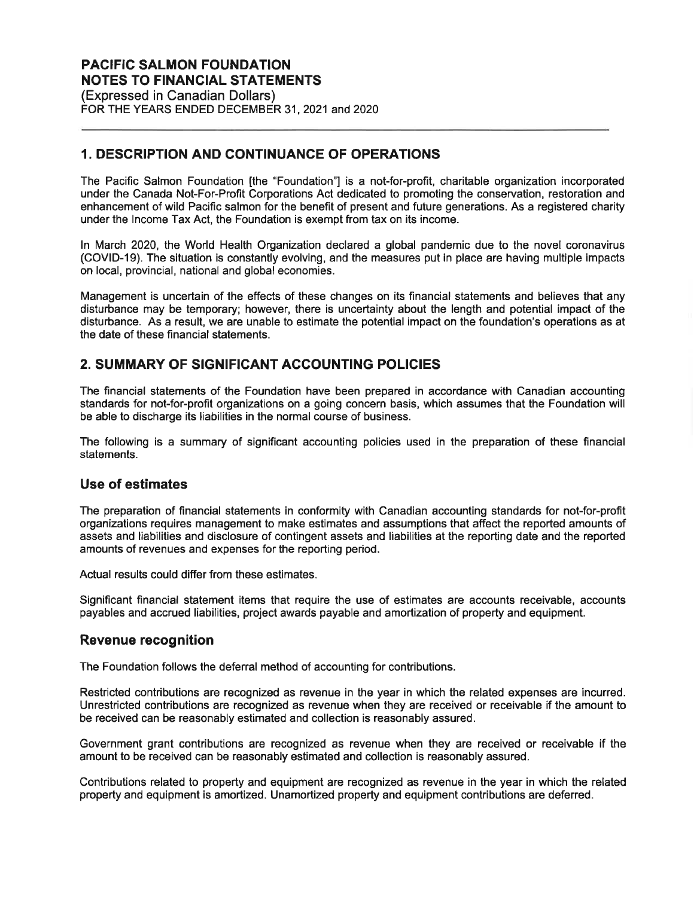(Expressed in Canadian Dollars) FOR THE YEARS ENDED DECEMBER 31, 2021 and 2020

## 1. DESCRIPTION AND CONTINUANCE OF OPERATIONS

The Pacific Salmon Foundation [the "Foundation"] is a not-for-profit, charitable organization incorporated under the Canada Not-For-Profit Corporations Act dedicated to promoting the conservation, restoration and enhancement of wild Pacific salmon for the benefit of present and future generations. As a registered charity under the lncome Tax Act, the Foundation is exempt from tax on its income.

ln March 2020, the World Health Organization declared a global pandemic due to the novel coronavirus (COVID-19). The situation is constantly evolving, and the measures put in place are having multiple impacts on local, provincial, national and global economies.

Management is uncertain of the effects of these changes on its financial statements and believes that any disturbance may be temporary; however, there is uncertainty about the length and potential impact of the disturbance. As a result, we are unable to estimate the potential impact on the foundation's operations as at the date of these financial statements.

## 2. SUMMARY OF SIGNIFICANT ACCOUNTING POLICIES

The financial statements of the Foundation have been prepared in accordance with Canadian accounting standards for not-for-profit organizations on a going concern basis, which assumes that the Foundation will be able to discharge its liabilities in the normal course of business.

The following is a summary of significant accounting policies used in the preparation of these financial statements.

#### Use of estimates

The preparation of financial statements in conformity with Canadian accounting standards for not-for-profit organizations requires management to make estimates and assumptions that affect the reported amounts of assets and liabilifies and disclosure of contingent assets and liabilities at the reporting date and the reported amounts of revenues and expenses for the reporting period.

Actual results could differ from these estimates.

Significant financial statement items that require the use of estimates are accounts receivable, accounts payables and accrued liabilities, project awards payable and amortization of property and equipment.

#### Revenue recognition

The Foundation follows the deferral method of accounting for contributions.

Restricted contributions are recognized as revenue in the year in which the related expenses are incurred. Unrestricted contributions are recognized as revenue when they are received or receivable if the amount to be received can be reasonably estimated and collection is reasonably assured.

Government grant contributions are recognized as revenue when they are received or receivable if the amount to be received can be reasonably estimated and collection is reasonably assured.

Contributions related to property and equipment are recognized as revenue in the year in which the related property and equipment is amortized. Unamortized property and equipment contributions are defened.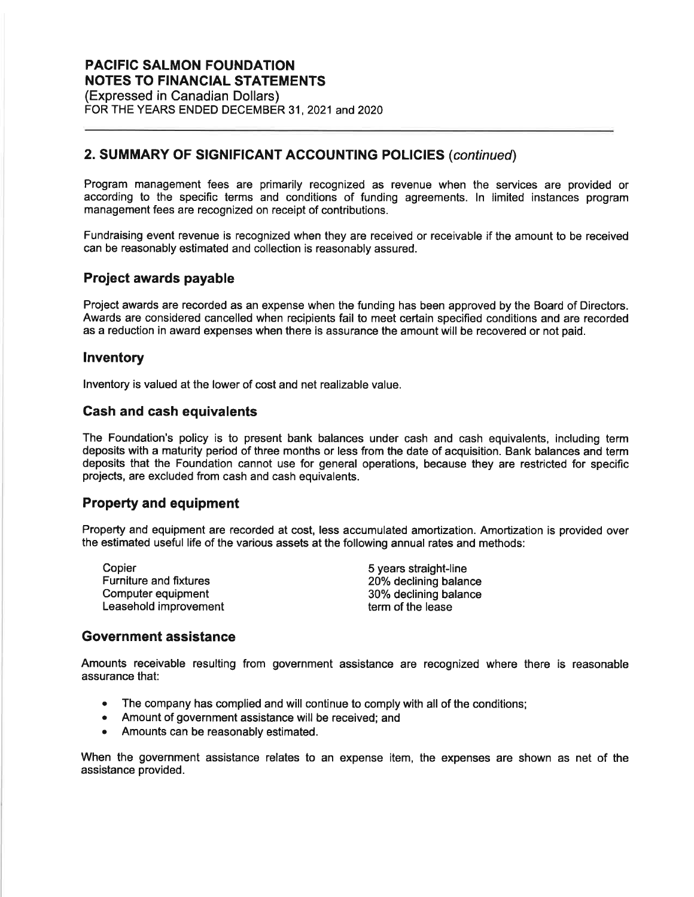(Expressed in Canadian Dollars) FOR THE YEARS ENDED DECEMBER 31, 2021 and 2020

## 2. SUMMARY OF SIGNIFICANT ACCOUNTING POLICIES (continued)

Program management fees are primarily recognized as revenue when the services are provided or according to the specific terms and conditions of funding agreements. ln limited instances program management fees are recognized on receipt of contributions.

Fundraising event revenue is recognized when they are received or receivable if the amount to be received can be reasonably estimated and collection is reasonably assured.

### Project awards payable

Project awards are recorded as an expense when the funding has been approved by the Board of Directors. Awards are considered cancelled when recipients fail to meet certain specified conditions and are recorded as a reduction in award expenses when there is assurance the amount will be recovered or not paid.

### lnventory

lnventory is valued at the lower of cost and net realizable value.

### Gash and cash equivalents

The Foundation's policy is to present bank balances under cash and cash equivalents, including term deposits with a maturity period of three months or less from the date of acquisition. Bank balances and term deposits that the Foundation cannot use for general operations, because they are restricted for specific projects, are excluded from cash and cash equivalents.

### Property and equipment

Property and equipment are recorded at cost, less accumulated amortization. Amortization is provided over the estimated useful life of the various assets at the following annual rates and methods:

Copier Furniture and fixtures Computer equipment Leasehold improvement 5 years straight-line 20% declining balance 30% declining balance term of the lease

### Government assistance

Amounts receivable resulting from government assistance are recognized where there is reasonable assurance that:

- The company has complied and will continue to comply with all of the conditions;
- Amount of government assistance will be received; and
- Amounts can be reasonably estimated.

When the government assistance relates to an expense item, the expenses are shown as net of the assistance provided.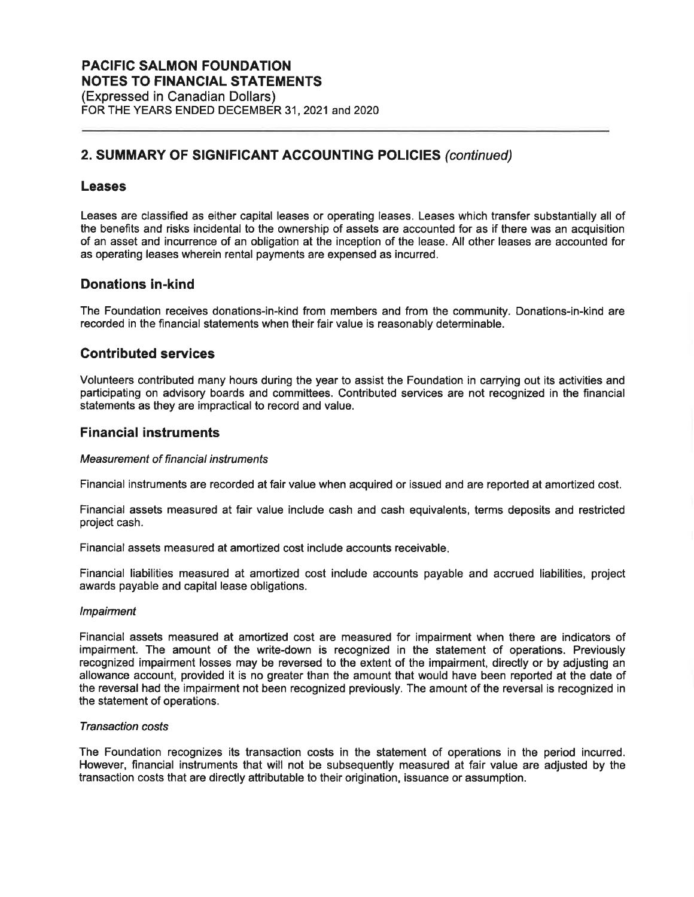## 2. SUMMARY OF SIGNIFICANT ACCOUNTING POLICIES (continued)

#### Leases

Leases are classified as either capital leases or operating leases. Leases which transfer substantially all of the benefits and risks incidental to the ownership of assets are accounted for as if there was an acquisition of an asset and incurrence of an obligation at the inception of the lease. All other leases are accounted for as operating leases wherein rental payments are expensed as incurred.

#### Donations in-kind

The Foundation receives donations-in-kind from members and from the community. Donations-in-kind are recorded in the financial statements when their fair value is reasonably determinable.

### Contributed services

Volunteers contributed many hours during the year to assist the Foundation in carrying out its activities and participating on advisory boards and committees. Contributed services are not recognized in the financial statements as they are impractical to record and value.

#### Financial instruments

#### Measurement of financial instruments

Financial instruments are recorded at fair value when acquired or issued and are reported at amortized cost.

Financial assets measured at fair value include cash and cash equivalents, terms deposits and restricted project cash.

Financial assets measured at amortized cost include accounts receivable

Financial liabilities measured at amortized cost include accounts payable and accrued liabilities, project awards payable and capital lease obligations.

#### lmpairment

Financial assets measured at amortized cost are measured for impairment when there are indicators of impairment. The amount of the write-down is recognized in the statement of operations. Previously recognized impairment losses may be reversed to the extent of the impairment, directly or by adjusting an allowance account, provided it is no greater than the amount that would have been reported at the date of the reversal had the impairment not been recognized previously. The amount of the reversal is recognized in the statement of operations.

#### Transaction costs

The Foundation recognizes its transaction costs in the statement of operations in the period incurred. However, financial instruments that will not be subsequently measured at fair value are adjusted by the transaction costs that are directly aftributable to their origination, issuance or assumption.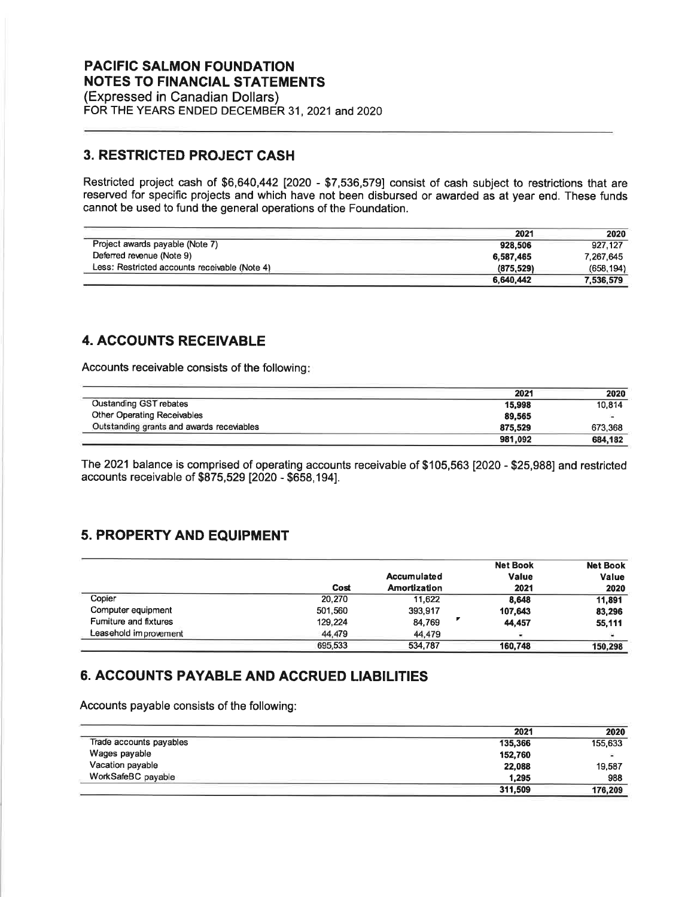(Expressed in Canadian Dollars) FOR THE YEARS ENDED DECEMBER 31, 2021 and 2020

## 3. RESTRIGTED PROJECT CASH

Restricted project cash of \$6,640,442 [2020 - \$7,536,579] consist of cash subject to restrictions that are reserved for specific projects and which have not been disbursed or awarded as at year end. These funds cannot be used to fund the general operations of the Foundation.

|                                               | 2021      | 2020       |
|-----------------------------------------------|-----------|------------|
| Project awards payable (Note 7)               | 928.506   | 927.127    |
| Deferred revenue (Note 9)                     | 6,587,465 | 7.267.645  |
| Less: Restricted accounts receivable (Note 4) | (875.529) | (658, 194) |
|                                               | 6.640.442 | 7.536.579  |

## 4. ACCOUNTS RECEIVABLE

Accounts receivable consists of the following

|                                           | 2021    | 2020    |
|-------------------------------------------|---------|---------|
| <b>Oustanding GST rebates</b>             | 15.998  | 10,814  |
| Other Operating Receivables               | 89.565  | œ.      |
| Outstanding grants and awards receviables | 875.529 | 673.368 |
|                                           | 981,092 | 684.182 |

The 2021 balance is comprised of operating accounts receivable of \$105,563 [2020 - \$25,988] and restricted accounts receivable of \$875,529 [2020 - \$658,194].

## 5. PROPERTY AND EQUIPMENT

|                              |         |                     | <b>Net Book</b> | <b>Net Book</b> |
|------------------------------|---------|---------------------|-----------------|-----------------|
|                              |         | <b>Accumulated</b>  | <b>Value</b>    | Value           |
|                              | Cost    | <b>Amortization</b> | 2021            | 2020            |
| Copier                       | 20,270  | 11.622              | 8.648           | 11.891          |
| Computer equipment           | 501,560 | 393,917             | 107,643         | 83,296          |
| <b>Fumiture and fixtures</b> | 129,224 | 84,769              | 44,457          | 55,111          |
| Leasehold improvement        | 44.479  | 44,479              | $\bullet$       |                 |
|                              | 695,533 | 534,787             | 160.748         | 150.298         |

## 6. ACCOUNTS PAYABLE AND ACCRUED LIABILITIES

Accounts payable consists of the following:

|                         | 2021    | 2020    |
|-------------------------|---------|---------|
| Trade accounts payables | 135,366 | 155,633 |
| Wages payable           | 152,760 | ÷       |
| Vacation payable        | 22,088  | 19,587  |
| WorkSafeBC payable      | 1.295   | 988     |
|                         | 311,509 | 176,209 |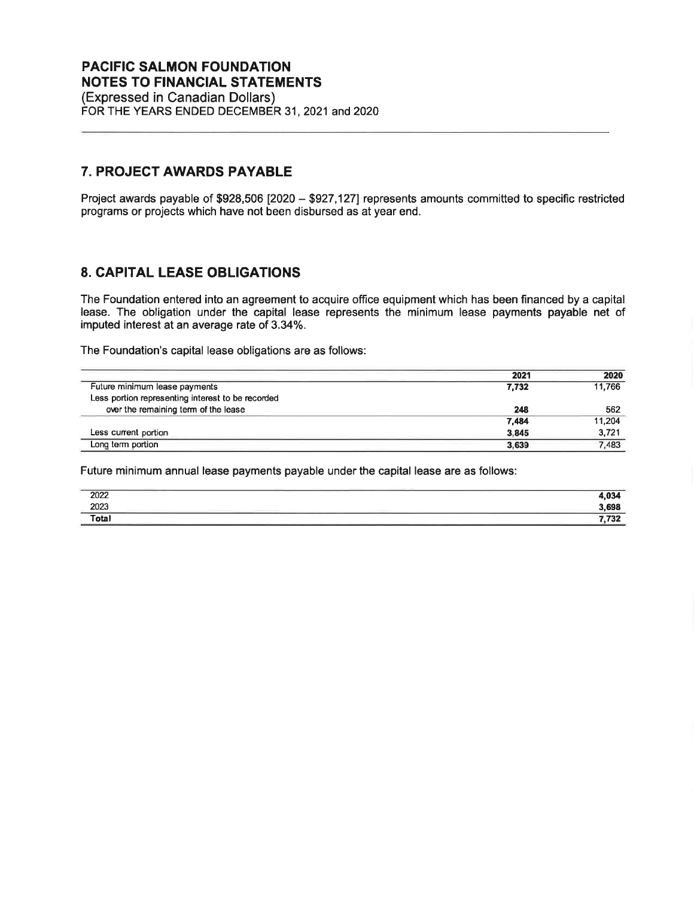(Expressed in Canadian Dollars) FOR THE YEARS ENDED DECEMBER 31, 2021 and 2020

### 7. PROJECT AWARDS PAYABLE

Project awards payable of \$928,506 [2020 - \$927,127] represents amounts committed to specific restricted programs or projects which have not been disbursed as at year end.

## 8. CAPITAL LEASE OBLIGATIONS

The Foundation entered into an agreement to acquire office equipment which has been financed by a capital lease. The obligation under the capital lease represents the minimum lease payments payable net of imputed interest at an average rate of 3.34%.

The Foundation's capital lease obligations are as follows:

|                                                   | 2021  | 2020   |
|---------------------------------------------------|-------|--------|
| Future minimum lease payments                     | 7.732 | 11,766 |
| Less portion representing interest to be recorded |       |        |
| over the remaining term of the lease              | 248   | 562    |
|                                                   | 7,484 | 11,204 |
| Less current portion                              | 3.845 | 3,721  |
| Long term portion                                 | 3.639 | 7,483  |

Future minimum annual lease payments payable under the capital lease are as follows:

| 2022<br>2023 | ______<br>03A<br>$\sim$                                                                                                                                                                                                                                                                                                                                                                                                                                                             |
|--------------|-------------------------------------------------------------------------------------------------------------------------------------------------------------------------------------------------------------------------------------------------------------------------------------------------------------------------------------------------------------------------------------------------------------------------------------------------------------------------------------|
|              | 3.698<br>$\frac{1}{2} \left( \frac{1}{2} \right) \left( \frac{1}{2} \right) \left( \frac{1}{2} \right) \left( \frac{1}{2} \right) \left( \frac{1}{2} \right) \left( \frac{1}{2} \right) \left( \frac{1}{2} \right) \left( \frac{1}{2} \right) \left( \frac{1}{2} \right) \left( \frac{1}{2} \right) \left( \frac{1}{2} \right) \left( \frac{1}{2} \right) \left( \frac{1}{2} \right) \left( \frac{1}{2} \right) \left( \frac{1}{2} \right) \left( \frac{1}{2} \right) \left( \frac$ |
| Total        | フヘの<br>. I JZ                                                                                                                                                                                                                                                                                                                                                                                                                                                                       |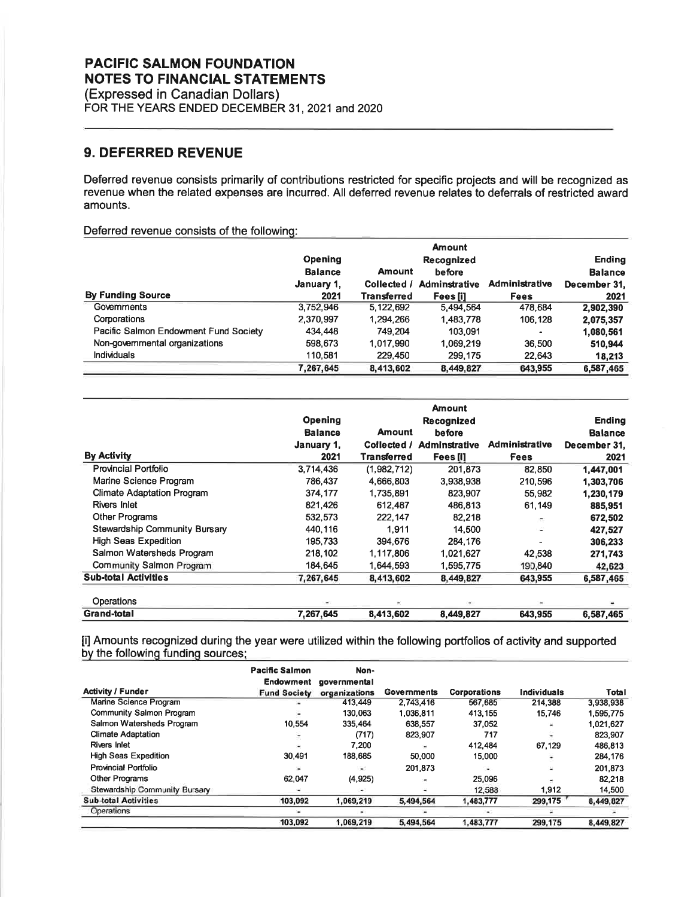(Expressed in Canadian Dollars) FOR THE YEARS ENDED DECEMBER 31, 2021 and 2020

## 9. DEFERRED REVENUE

Deferred revenue consists primarily of contributions restricted for specific projects and will be recognized as revenue when the related expenses are incurred. All deferred revenue relates to deferrals of restricted award amounts.

Deferred revenue consists of the following:

|                                       | <b>Amount</b>  |               |                      |                       |                |  |
|---------------------------------------|----------------|---------------|----------------------|-----------------------|----------------|--|
|                                       | <b>Opening</b> |               | Recognized           |                       | <b>Ending</b>  |  |
|                                       | <b>Balance</b> | <b>Amount</b> | before               |                       | <b>Balance</b> |  |
|                                       | January 1,     | Collected /   | <b>Adminstrative</b> | <b>Administrative</b> | December 31.   |  |
| <b>By Funding Source</b>              | 2021           | Transterred   | Fees iil             | <b>Fees</b>           | 2021           |  |
| Governments                           | 3,752,946      | 5,122,692     | 5.494.564            | 478.684               | 2,902,390      |  |
| Corporations                          | 2,370,997      | 1,294,266     | 1,483,778            | 106,128               | 2,075,357      |  |
| Pacific Salmon Endowment Fund Society | 434,448        | 749.204       | 103.091              |                       | 1,080,561      |  |
| Non-governmental organizations        | 598,673        | 1,017,990     | 1.069.219            | 36.500                | 510,944        |  |
| <b>Individuals</b>                    | 110,581        | 229,450       | 299,175              | 22,643                | 18,213         |  |
|                                       | 7,267,645      | 8,413,602     | 8,449,827            | 643.955               | 6,587,465      |  |

|                                      | Opening<br><b>Balance</b> | <b>Amount</b> | <b>Amount</b><br>Recognized<br>before |                | <b>Ending</b><br><b>Balance</b> |
|--------------------------------------|---------------------------|---------------|---------------------------------------|----------------|---------------------------------|
|                                      | January 1,                | Collected /   | <b>Adminstrative</b>                  | Administrative | December 31.                    |
| <b>By Activity</b>                   | 2021                      | Transterred   | Fees [1]                              | <b>Fees</b>    | 2021                            |
| Provincial Portfolio                 | 3,714,436                 | (1,982,712)   | 201.873                               | 82.850         | 1,447,001                       |
| Marine Science Program               | 786,437                   | 4,666,803     | 3,938,938                             | 210,596        | 1,303,706                       |
| <b>Climate Adaptation Program</b>    | 374,177                   | 1,735,891     | 823,907                               | 55.982         | 1,230,179                       |
| Rivers Inlet                         | 821,426                   | 612,487       | 486,813                               | 61,149         | 885,951                         |
| <b>Other Programs</b>                | 532,573                   | 222,147       | 82,218                                | ÷              | 672,502                         |
| <b>Stewardship Community Bursary</b> | 440,116                   | 1,911         | 14,500                                | à.             | 427,527                         |
| <b>High Seas Expedition</b>          | 195,733                   | 394,676       | 284.176                               |                | 306,233                         |
| Salmon Watersheds Program            | 218,102                   | 1,117,806     | 1,021,627                             | 42,538         | 271,743                         |
| Community Salmon Program             | 184,645                   | 1,644,593     | 1,595,775                             | 190,840        | 42,623                          |
| <b>Sub-total Activities</b>          | 7,267,645                 | 8,413,602     | 8,449,827                             | 643,955        | 6,587,465                       |
| Operations                           |                           |               |                                       |                |                                 |
| Grand-total                          | 7.267,645                 | 8,413,602     | 8,449,827                             | 643,955        | 6,587,465                       |

[i] Amounts recognized during the year were utilized within the following portfolios of activity and supported bv the followinq fundinq sources:

|                               | <b>Pacific Salmon</b><br>Endowment | Non-<br>governmental     |             |                     |                    |           |
|-------------------------------|------------------------------------|--------------------------|-------------|---------------------|--------------------|-----------|
| <b>Activity / Funder</b>      | <b>Fund Society</b>                | organizations            | Governments | <b>Corporations</b> | <b>Individuals</b> | Total     |
| Marine Science Program        |                                    | 413,449                  | 2.743.416   | 567.685             | 214.388            | 3.938.938 |
| Community Salmon Program      |                                    | 130.063                  | 1.036.811   | 413,155             | 15.746             | 1,595,775 |
| Salmon Watersheds Program     | 10.554                             | 335,464                  | 638,557     | 37.052              |                    | 1,021,627 |
| <b>Climate Adaptation</b>     |                                    | (717)                    | 823.907     | 717                 |                    | 823,907   |
| <b>Rivers Inlet</b>           |                                    | 7.200                    |             | 412.484             | 67,129             | 486,813   |
| <b>High Seas Expedition</b>   | 30.491                             | 188.685                  | 50,000      | 15,000              | ٠                  | 284,176   |
| Provincial Portfolio          |                                    | ÷.                       | 201.873     | ٠                   | ×                  | 201.873   |
| Other Programs                | 62.047                             | (4, 925)                 |             | 25,096              | ۰                  | 82.218    |
| Stewardship Community Bursary |                                    | $\overline{\phantom{a}}$ |             | 12,588              | 1.912              | 14,500    |
| <b>Sub-total Activities</b>   | 103,092                            | 1,069,219                | 5,494,564   | 1,483,777           | 299,175            | 8,449,827 |
| Operations                    |                                    |                          |             |                     |                    |           |
|                               | 103,092                            | 1,069,219                | 5,494,564   | 1,483,777           | 299,175            | 8,449,827 |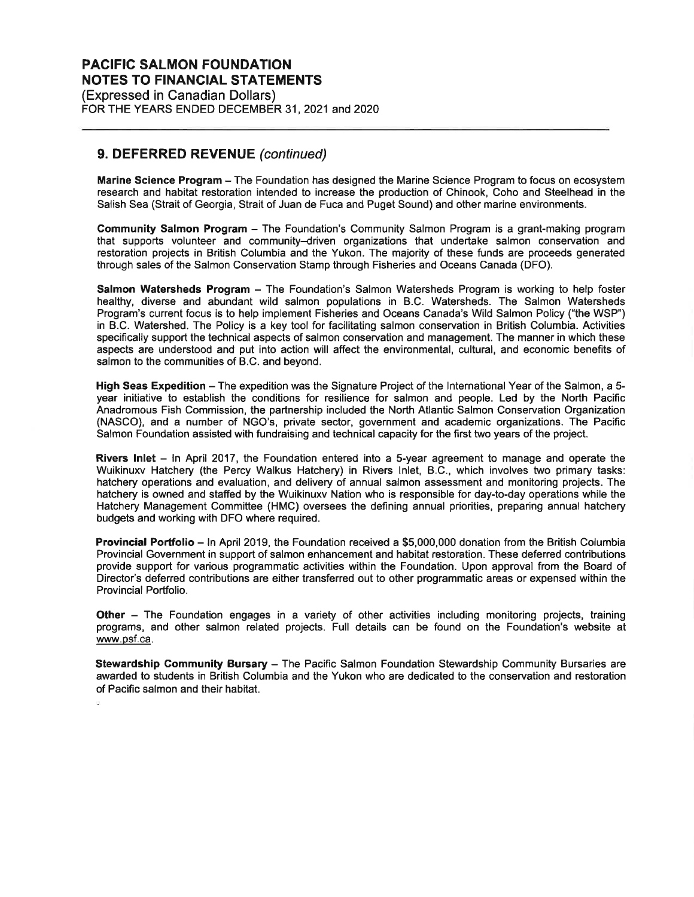(Expressed in Canadian Dollars) FOR THE YEARS ENDED DECEMBER 31, 2021 and 2020

### 9. DEFERRED REVENUE (continued)

Marine Science Program - The Foundation has designed the Marine Science Program to focus on ecosystem research and habitat restoration intended to increase the production of Chinook, Coho and Steelhead in the Salish Sea (Strait of Georgia, Strait of Juan de Fuca and Puget Sound) and other marine environments.

Community Salmon Program - The Foundation's Community Salmon Program is a grant-making program that supports volunteer and community-driven organizations that undertake salmon conservation and restoration projects in British Columbia and the Yukon. The majority of these funds are proceeds generated through sales of the Salmon Conservation Stamp through Fisheries and Oceans Canada (DFO).

Salmon Watersheds Program - The Foundation's Salmon Watersheds Program is working to help foster healthy, diverse and abundant wild salmon populations in B.C. Watersheds. The Salmon Watersheds Program's current focus is to help implement Fisheries and Oceans Canada's Wild Salmon Policy ("the WSP') in B.C. Watershed. The Policy is a key tool for facilitating salmon conservation in British Columbia. Activities specifically support the technical aspects of salmon conservation and management. The manner in which these aspects are understood and put into action will affect the environmental, cultural, and economic benefits of salmon to the communities of B.C. and beyond.

High Seas Expedition - The expedition was the Signature Project of the International Year of the Salmon, a 5year initiative to establish the conditions for resilience for salmon and people. Led by the North Pacific Anadromous Fish Commission, the partnership included the North Atlantic Salmon Conservation Organization (NASCO), and a number of NGO's, private sector, government and academic organizations. The Pacific Salmon Foundation assisted with fundraising and technical capacity for the first two years of the project.

Rivers Inlet  $-$  ln April 2017, the Foundation entered into a 5-year agreement to manage and operate the Wuikinuxv Hatchery (the Percy Walkus Hatchery) in Rivers lnlet, B.C., which involves two primary tasks: hatchery operations and evaluation, and delivery of annual salmon assessment and monitoring projects. The hatchery is owned and staffed by the Wuikinuxv Nation who is responsible for day-to-day operations while the Hatchery Management Committee (HMC) oversees the defining annual priorities, preparing annual hatchery budgets and working with DFO where required.

Provincial Portfolio - ln April 2019, the Foundation received a \$5,000,000 donation from the British Columbia Provincial Government in support of salmon enhancement and habitat restoration. These deferred contributions provide support for various programmatic activities within the Foundation. Upon approval from the Board of Director's deferred contributions are either transferred out to other programmatic areas or expensed within the Provincial Portfolio.

Other - The Foundation engages in a variety of other activities including monitoring projects, training programs, and other salmon related projects. Full details can be found on the Foundation's website at www.psf.ca.

Stewardship Community Bursary - The Pacific Salmon Foundation Stewardship Community Bursaries are awarded to students in British Columbia and the Yukon who are dedicated to the conservation and restoration of Pacific salmon and their habitat.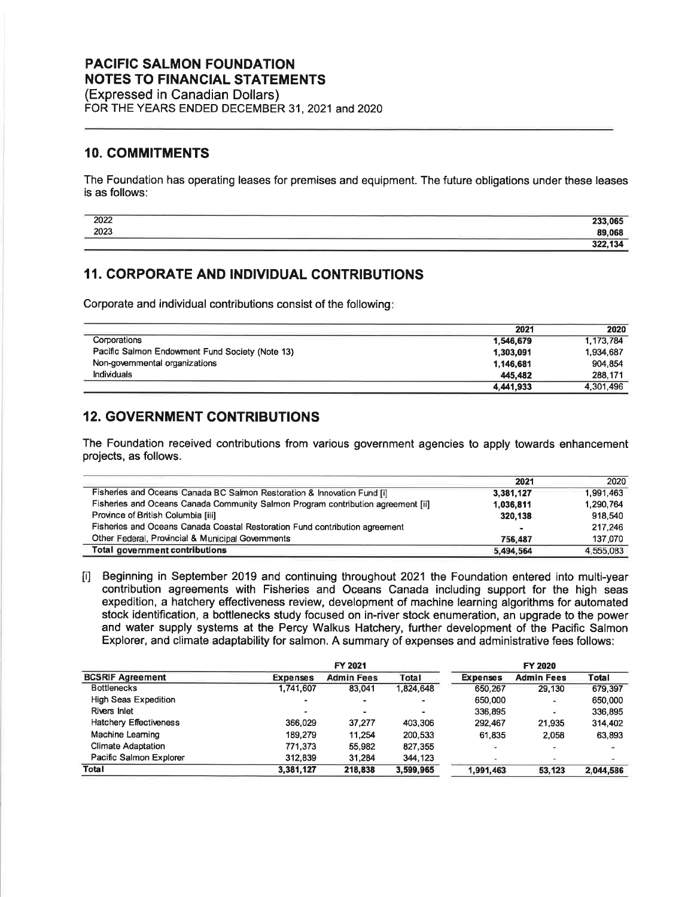(Expressed in Canadian Dollars) FOR THE YEARS ENDED DECEMBER 31, 2021 and 2020

### 10. COMMITMENTS

The Foundation has operating leases for premises and equipment. The future obligations under these leases is as follows:

| 2022 | 233,065                         |
|------|---------------------------------|
| 2023 | 89.068                          |
|      | 404<br>222<br>- 3<br>JZ.<br>דשו |

## 11. CORPORATE AND INDIVIDUAL CONTRIBUTIONS

Corporate and individual contributions consist of the following

|                                                 | 2021      | 2020      |
|-------------------------------------------------|-----------|-----------|
| Corporations                                    | 1,546,679 | 1.173.784 |
| Pacific Salmon Endowment Fund Society (Note 13) | 1,303,091 | 1.934.687 |
| Non-governmental organizations                  | 1,146,681 | 904.854   |
| <b>Individuals</b>                              | 445.482   | 288.171   |
|                                                 | 4,441,933 | 4.301.496 |

## 12. GOVERNMENT CONTRIBUTIONS

The Foundation received contributions from various government agencies to apply towards enhancement projects, as follows.

|                                                                                  | 2021           | 2020      |
|----------------------------------------------------------------------------------|----------------|-----------|
| Fisheries and Oceans Canada BC Salmon Restoration & Innovation Fund [i]          | 3.381.127      | 1,991,463 |
| Fisheries and Oceans Canada Community Salmon Program contribution agreement [ii] | 1.036.811      | 1.290.764 |
| Province of British Columbia [iii]                                               | 320,138        | 918.540   |
| Fisheries and Oceans Canada Coastal Restoration Fund contribution agreement      | $\blacksquare$ | 217.246   |
| Other Federal, Provincial & Municipal Governments                                | 756.487        | 137,070   |
| Total government contributions                                                   | 5,494,564      | 4,555,083 |

lil Beginning in September 2019 and continuing throughout 2021 the Foundation entered into multi-year contribution agreements with Fisheries and Oceans Canada including support for the high seas expedition, a hatchery effectiveness review, development of machine learning algorithms for automated stock identification, a bottlenecks study focused on in-river stock enumeration, an upgrade to the power and water supply systems at the Percy Walkus Hatchery, further development of the Pacific Salmon Explorer, and climate adaptability for salmon. A summary of expenses and administrative fees follows:

| <b>BCSRIF Agreement</b>     | FY 2021         |                   |           | FY 2020         |                   |           |
|-----------------------------|-----------------|-------------------|-----------|-----------------|-------------------|-----------|
|                             | <b>Expenses</b> | <b>Admin Fees</b> | Total     | <b>Expenses</b> | <b>Admin Fees</b> | Total     |
| <b>Bottlenecks</b>          | 1,741,607       | 83,041            | 1.824.648 | 650.267         | 29.130            | 679.397   |
| <b>High Seas Expedition</b> | -               |                   |           | 650,000         |                   | 650,000   |
| Rivers Inlet                |                 |                   | -         | 336,895         | a.                | 336.895   |
| Hatchery Effectiveness      | 366.029         | 37,277            | 403,306   | 292.467         | 21,935            | 314,402   |
| Machine Learning            | 189.279         | 11.254            | 200.533   | 61.835          | 2.058             | 63,893    |
| <b>Climate Adaptation</b>   | 771.373         | 55,982            | 827,355   | ÷.              | ×                 |           |
| Pacific Salmon Explorer     | 312.839         | 31.284            | 344,123   |                 | ۰                 | ۰         |
| Total                       | 3,381,127       | 218.838           | 3,599,965 | 1.991.463       | 53.123            | 2,044,586 |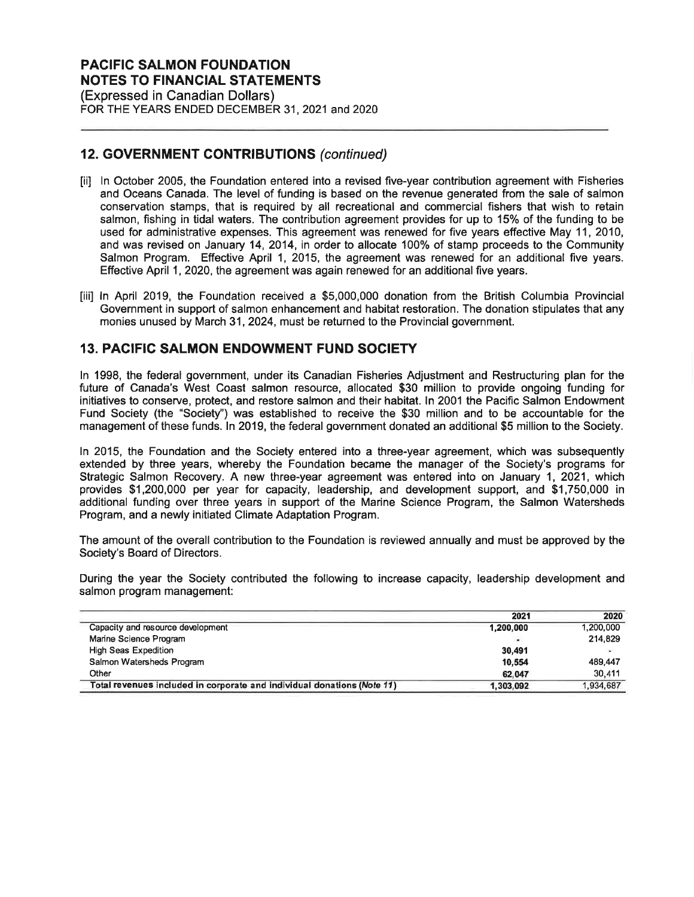FOR THE YEARS ENDED DECEMBER 31, 2021 and 2020

## 12. GOVERNMENT GONTRIBUTIONS (continued)

- tiil ln October 2005, the Foundation entered into a revised five-year contribution agreement with Fisheries and Oceans Canada. The level of funding is based on the revenue generated from the sale of salmon conservation stamps, that is required by all recreational and commercial fishers that wish to retain salmon, fishing in tidal waters. The contribution agreement provides for up to 15% of the funding to be used for administrative expenses. This agreement was renewed for five years effective May 11, 2010, and was revised on January 14,2014, in order to allocate 100% of stamp proceeds to the Community Salmon Program. Effective April 1, 2015, the agreement was renewed for an additional five years. Effective April 1, 2020, the agreement was again renewed for an additional five years.
- [iii] ln April 2019, the Foundation received a \$5,000,000 donation from the British Columbia Provincial Government in support of salmon enhancement and habitat restoration. The donation stipulates that any monies unused by March 31,2024, must be returned to the Provincial government.

## 13. PACIFIC SALMON ENDOWMENT FUND SOCIETY

ln 1998, the federal government, under its Canadian Fisheries Adjustment and Restructuring plan for the future of Canada's West Coast salmon resource, allocated \$30 million to provide ongoing funding for initiatives to conserve, protect, and restore salmon and their habitat. ln 2001 the Pacific Salmon Endowment Fund Society (the "Society'') was established to receive the \$30 million and to be accountable for the management of these funds. ln 2019, the federal government donated an additional \$5 million to the Society.

ln 2015, the Foundation and the Society entered into a three-year agreement, which was subsequently extended by three years, whereby the Foundation became the manager of the Society's programs for Strategic Salmon Recovery. A new three-year agreement was entered into on January 1, 2021, which provides \$1,200,000 per year for capacity, leadership, and development support, and \$1,750,000 in additional funding over three years in support of the Marine Science Program, the Salmon Watersheds Program, and a newly initiated Climate Adaptation Program.

The amount of the overall contribution to the Foundation is reviewed annually and must be approved by the Society's Board of Directors.

During the year the Society contributed the following to increase capacity, leadership development and salmon program management:

|                                                                         | 2021      | 2020                     |
|-------------------------------------------------------------------------|-----------|--------------------------|
| Capacity and resource development                                       | 1,200,000 | 1,200,000                |
| Marine Science Program                                                  |           | 214.829                  |
| <b>High Seas Expedition</b>                                             | 30.491    | $\overline{\phantom{a}}$ |
| Salmon Watersheds Program                                               | 10.554    | 489.447                  |
| Other                                                                   | 62,047    | 30.411                   |
| Total revenues included in corporate and individual donations (Note 11) | 1,303,092 | 1,934,687                |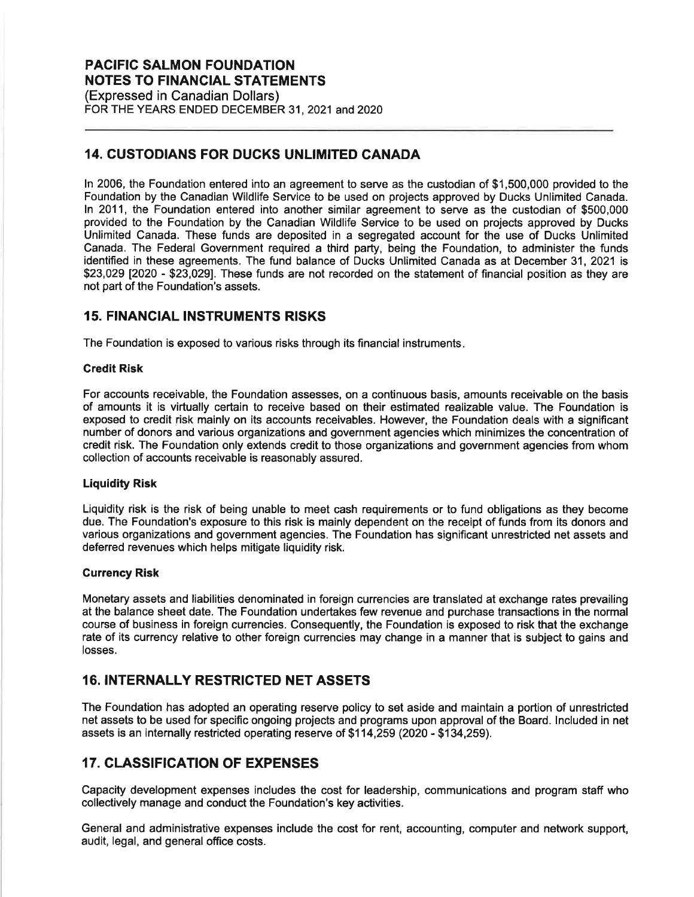(Expressed in Canadian Dollars) FOR THE YEARS ENDED DECEMBER 31, 2021 and 2020

## 14. CUSTODIANS FOR DUCKS UNLIMITED CANADA

ln 2006, the Foundation entered into an agreement to serve as the custodian of \$1,500,000 provided to the Foundation by the Canadian Wildlife Service to be used on projects approved by Ducks Unlimited Canada. ln 2011, the Foundation entered into another similar agreement to serve as the custodian of \$500,000 provided to the Foundation by the Canadian Wildlife Service to be used on projects approved by Ducks Unlimited Canada. These funds are deposited in a segregated account for the use of Ducks Unlimited Canada. The Federal Government required a third party, being the Foundation, to administer the funds identified in these agreements. The fund balance of Ducks Unlimited Canada as at December 31 ,2021 is \$23,029 [2020 - \$23,029]. These funds are not recorded on the statement of financial position as they are not part of the Foundation's assets.

### 15. FINANCIAL INSTRUMENTS RISKS

The Foundation is exposed to various risks through its financial instruments

#### Gredit Risk

For accounts receivable, the Foundation assesses, on a continuous basis, amounts receivable on the basis of amounts it is virtually certain to receive based on their estimated realizable value. The Foundation is exposed to credit risk mainly on its accounts receivables. However, the Foundation deals with a significant number of donors and various organizations and government agencies which minimizes the concentration of credit risk. The Foundation only extends credit to those organizations and government agencies from whom collection of accounts receivable is reasonably assured.

#### Liquidity Risk

Liquidity risk is the risk of being unable to meet cash requirements or to fund obligations as they become due. The Foundation's exposure to this risk is mainly dependent on the receipt of funds from its donors and various organizations and government agencies. The Foundation has significant unrestricted net assets and deferred revenues which helps mitigate liquidity risk.

#### Currency Risk

Monetary assets and liabilities denominated in foreign currencies are translated at exchange rates prevailing at the balance sheet date. The Foundation undertakes few revenue and purchase transactions in the normal course of business in foreign currencies. Consequently, the Foundation is exposed to risk that the exchange rate of its currency relative to other foreign currencies may change in a manner that is subject to gains and losses.

## 16. INTERNALLY RESTRICTED NET ASSETS

The Foundation has adopted an operating reserve policy to set aside and maintain a portion of unrestricted net assets to be used for specific ongoing projects and programs upon approval of the Board. lncluded in net assets is an internally restricted operating reserve of \$1 14,259 (2020 - \$134,259).

## 17. CLASSIFICATION OF EXPENSES

Capacity development expenses includes the cost for leadership, communications and program staff who collectively manage and conduct the Foundation's key activities.

General and administrative expenses include the cost for rent, accounting, computer and network support, audit, legal, and general office costs.